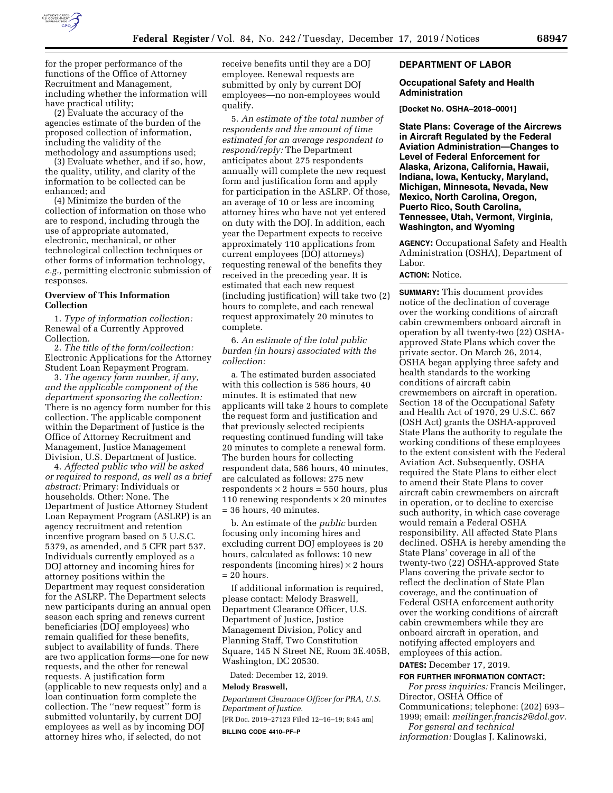

for the proper performance of the functions of the Office of Attorney Recruitment and Management, including whether the information will have practical utility;

(2) Evaluate the accuracy of the agencies estimate of the burden of the proposed collection of information, including the validity of the methodology and assumptions used;

(3) Evaluate whether, and if so, how, the quality, utility, and clarity of the information to be collected can be enhanced; and

(4) Minimize the burden of the collection of information on those who are to respond, including through the use of appropriate automated, electronic, mechanical, or other technological collection techniques or other forms of information technology, *e.g.,* permitting electronic submission of responses.

# **Overview of This Information Collection**

1. *Type of information collection:*  Renewal of a Currently Approved Collection.

2. *The title of the form/collection:*  Electronic Applications for the Attorney Student Loan Repayment Program.

3. *The agency form number, if any, and the applicable component of the department sponsoring the collection:*  There is no agency form number for this collection. The applicable component within the Department of Justice is the Office of Attorney Recruitment and Management, Justice Management Division, U.S. Department of Justice.

4. *Affected public who will be asked or required to respond, as well as a brief abstract:* Primary: Individuals or households. Other: None. The Department of Justice Attorney Student Loan Repayment Program (ASLRP) is an agency recruitment and retention incentive program based on 5 U.S.C. 5379, as amended, and 5 CFR part 537. Individuals currently employed as a DOJ attorney and incoming hires for attorney positions within the Department may request consideration for the ASLRP. The Department selects new participants during an annual open season each spring and renews current beneficiaries (DOJ employees) who remain qualified for these benefits, subject to availability of funds. There are two application forms—one for new requests, and the other for renewal requests. A justification form (applicable to new requests only) and a loan continuation form complete the collection. The ''new request'' form is submitted voluntarily, by current DOJ employees as well as by incoming DOJ attorney hires who, if selected, do not

receive benefits until they are a DOJ employee. Renewal requests are submitted by only by current DOJ employees—no non-employees would qualify.

5. *An estimate of the total number of respondents and the amount of time estimated for an average respondent to respond/reply:* The Department anticipates about 275 respondents annually will complete the new request form and justification form and apply for participation in the ASLRP. Of those, an average of 10 or less are incoming attorney hires who have not yet entered on duty with the DOJ. In addition, each year the Department expects to receive approximately 110 applications from current employees (DOJ attorneys) requesting renewal of the benefits they received in the preceding year. It is estimated that each new request (including justification) will take two (2) hours to complete, and each renewal request approximately 20 minutes to complete.

6. *An estimate of the total public burden (in hours) associated with the collection:* 

a. The estimated burden associated with this collection is 586 hours, 40 minutes. It is estimated that new applicants will take 2 hours to complete the request form and justification and that previously selected recipients requesting continued funding will take 20 minutes to complete a renewal form. The burden hours for collecting respondent data, 586 hours, 40 minutes, are calculated as follows: 275 new respondents  $\times$  2 hours = 550 hours, plus 110 renewing respondents  $\times$  20 minutes = 36 hours, 40 minutes.

b. An estimate of the *public* burden focusing only incoming hires and excluding current DOJ employees is 20 hours, calculated as follows: 10 new respondents (incoming hires)  $\times$  2 hours = 20 hours.

If additional information is required, please contact: Melody Braswell, Department Clearance Officer, U.S. Department of Justice, Justice Management Division, Policy and Planning Staff, Two Constitution Square, 145 N Street NE, Room 3E.405B, Washington, DC 20530.

Dated: December 12, 2019.

#### **Melody Braswell,**

*Department Clearance Officer for PRA, U.S. Department of Justice.*  [FR Doc. 2019–27123 Filed 12–16–19; 8:45 am]

**BILLING CODE 4410–PF–P** 

## **DEPARTMENT OF LABOR**

#### **Occupational Safety and Health Administration**

**[Docket No. OSHA–2018–0001]** 

**State Plans: Coverage of the Aircrews in Aircraft Regulated by the Federal Aviation Administration—Changes to Level of Federal Enforcement for Alaska, Arizona, California, Hawaii, Indiana, Iowa, Kentucky, Maryland, Michigan, Minnesota, Nevada, New Mexico, North Carolina, Oregon, Puerto Rico, South Carolina, Tennessee, Utah, Vermont, Virginia, Washington, and Wyoming** 

**AGENCY:** Occupational Safety and Health Administration (OSHA), Department of Labor.

# **ACTION:** Notice.

**SUMMARY:** This document provides notice of the declination of coverage over the working conditions of aircraft cabin crewmembers onboard aircraft in operation by all twenty-two (22) OSHAapproved State Plans which cover the private sector. On March 26, 2014, OSHA began applying three safety and health standards to the working conditions of aircraft cabin crewmembers on aircraft in operation. Section 18 of the Occupational Safety and Health Act of 1970, 29 U.S.C. 667 (OSH Act) grants the OSHA-approved State Plans the authority to regulate the working conditions of these employees to the extent consistent with the Federal Aviation Act. Subsequently, OSHA required the State Plans to either elect to amend their State Plans to cover aircraft cabin crewmembers on aircraft in operation, or to decline to exercise such authority, in which case coverage would remain a Federal OSHA responsibility. All affected State Plans declined. OSHA is hereby amending the State Plans' coverage in all of the twenty-two (22) OSHA-approved State Plans covering the private sector to reflect the declination of State Plan coverage, and the continuation of Federal OSHA enforcement authority over the working conditions of aircraft cabin crewmembers while they are onboard aircraft in operation, and notifying affected employers and employees of this action.

# **DATES:** December 17, 2019.

**FOR FURTHER INFORMATION CONTACT:** 

*For press inquiries:* Francis Meilinger, Director, OSHA Office of Communications; telephone: (202) 693– 1999; email: *[meilinger.francis2@dol.gov.](mailto:meilinger.francis2@dol.gov) For general and technical* 

*information:* Douglas J. Kalinowski,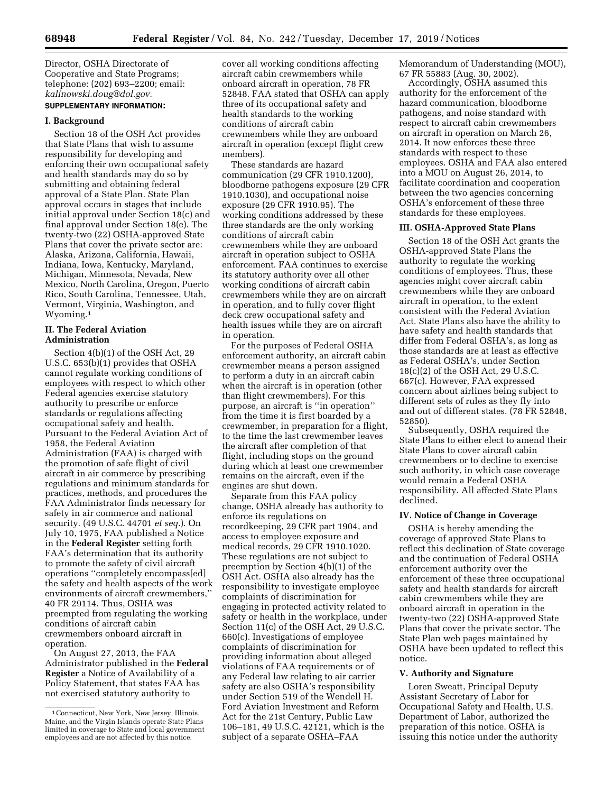Director, OSHA Directorate of Cooperative and State Programs; telephone: (202) 693–2200; email: *[kalinowski.doug@dol.gov.](mailto:kalinowski.doug@dol.gov)* 

# **SUPPLEMENTARY INFORMATION:**

# **I. Background**

Section 18 of the OSH Act provides that State Plans that wish to assume responsibility for developing and enforcing their own occupational safety and health standards may do so by submitting and obtaining federal approval of a State Plan. State Plan approval occurs in stages that include initial approval under Section 18(c) and final approval under Section 18(e). The twenty-two (22) OSHA-approved State Plans that cover the private sector are: Alaska, Arizona, California, Hawaii, Indiana, Iowa, Kentucky, Maryland, Michigan, Minnesota, Nevada, New Mexico, North Carolina, Oregon, Puerto Rico, South Carolina, Tennessee, Utah, Vermont, Virginia, Washington, and Wyoming.1

# **II. The Federal Aviation Administration**

Section 4(b)(1) of the OSH Act, 29 U.S.C. 653(b)(1) provides that OSHA cannot regulate working conditions of employees with respect to which other Federal agencies exercise statutory authority to prescribe or enforce standards or regulations affecting occupational safety and health. Pursuant to the Federal Aviation Act of 1958, the Federal Aviation Administration (FAA) is charged with the promotion of safe flight of civil aircraft in air commerce by prescribing regulations and minimum standards for practices, methods, and procedures the FAA Administrator finds necessary for safety in air commerce and national security. (49 U.S.C. 44701 *et seq.*). On July 10, 1975, FAA published a Notice in the **Federal Register** setting forth FAA's determination that its authority to promote the safety of civil aircraft operations ''completely encompass[ed] the safety and health aspects of the work environments of aircraft crewmembers,'' 40 FR 29114. Thus, OSHA was preempted from regulating the working conditions of aircraft cabin crewmembers onboard aircraft in operation.

On August 27, 2013, the FAA Administrator published in the **Federal Register** a Notice of Availability of a Policy Statement, that states FAA has not exercised statutory authority to

cover all working conditions affecting aircraft cabin crewmembers while onboard aircraft in operation, 78 FR 52848. FAA stated that OSHA can apply three of its occupational safety and health standards to the working conditions of aircraft cabin crewmembers while they are onboard aircraft in operation (except flight crew members).

These standards are hazard communication (29 CFR 1910.1200), bloodborne pathogens exposure (29 CFR 1910.1030), and occupational noise exposure (29 CFR 1910.95). The working conditions addressed by these three standards are the only working conditions of aircraft cabin crewmembers while they are onboard aircraft in operation subject to OSHA enforcement. FAA continues to exercise its statutory authority over all other working conditions of aircraft cabin crewmembers while they are on aircraft in operation, and to fully cover flight deck crew occupational safety and health issues while they are on aircraft in operation.

For the purposes of Federal OSHA enforcement authority, an aircraft cabin crewmember means a person assigned to perform a duty in an aircraft cabin when the aircraft is in operation (other than flight crewmembers). For this purpose, an aircraft is ''in operation'' from the time it is first boarded by a crewmember, in preparation for a flight, to the time the last crewmember leaves the aircraft after completion of that flight, including stops on the ground during which at least one crewmember remains on the aircraft, even if the engines are shut down.

Separate from this FAA policy change, OSHA already has authority to enforce its regulations on recordkeeping, 29 CFR part 1904, and access to employee exposure and medical records, 29 CFR 1910.1020. These regulations are not subject to preemption by Section 4(b)(1) of the OSH Act. OSHA also already has the responsibility to investigate employee complaints of discrimination for engaging in protected activity related to safety or health in the workplace, under Section 11(c) of the OSH Act, 29 U.S.C. 660(c). Investigations of employee complaints of discrimination for providing information about alleged violations of FAA requirements or of any Federal law relating to air carrier safety are also OSHA's responsibility under Section 519 of the Wendell H. Ford Aviation Investment and Reform Act for the 21st Century, Public Law 106–181, 49 U.S.C. 42121, which is the subject of a separate OSHA–FAA

Memorandum of Understanding (MOU), 67 FR 55883 (Aug. 30, 2002).

Accordingly, OSHA assumed this authority for the enforcement of the hazard communication, bloodborne pathogens, and noise standard with respect to aircraft cabin crewmembers on aircraft in operation on March 26, 2014. It now enforces these three standards with respect to these employees. OSHA and FAA also entered into a MOU on August 26, 2014, to facilitate coordination and cooperation between the two agencies concerning OSHA's enforcement of these three standards for these employees.

## **III. OSHA-Approved State Plans**

Section 18 of the OSH Act grants the OSHA-approved State Plans the authority to regulate the working conditions of employees. Thus, these agencies might cover aircraft cabin crewmembers while they are onboard aircraft in operation, to the extent consistent with the Federal Aviation Act. State Plans also have the ability to have safety and health standards that differ from Federal OSHA's, as long as those standards are at least as effective as Federal OSHA's, under Section 18(c)(2) of the OSH Act, 29 U.S.C. 667(c). However, FAA expressed concern about airlines being subject to different sets of rules as they fly into and out of different states. (78 FR 52848, 52850).

Subsequently, OSHA required the State Plans to either elect to amend their State Plans to cover aircraft cabin crewmembers or to decline to exercise such authority, in which case coverage would remain a Federal OSHA responsibility. All affected State Plans declined.

#### **IV. Notice of Change in Coverage**

OSHA is hereby amending the coverage of approved State Plans to reflect this declination of State coverage and the continuation of Federal OSHA enforcement authority over the enforcement of these three occupational safety and health standards for aircraft cabin crewmembers while they are onboard aircraft in operation in the twenty-two (22) OSHA-approved State Plans that cover the private sector. The State Plan web pages maintained by OSHA have been updated to reflect this notice.

# **V. Authority and Signature**

Loren Sweatt, Principal Deputy Assistant Secretary of Labor for Occupational Safety and Health, U.S. Department of Labor, authorized the preparation of this notice. OSHA is issuing this notice under the authority

<sup>1</sup>Connecticut, New York, New Jersey, Illinois, Maine, and the Virgin Islands operate State Plans limited in coverage to State and local government employees and are not affected by this notice.